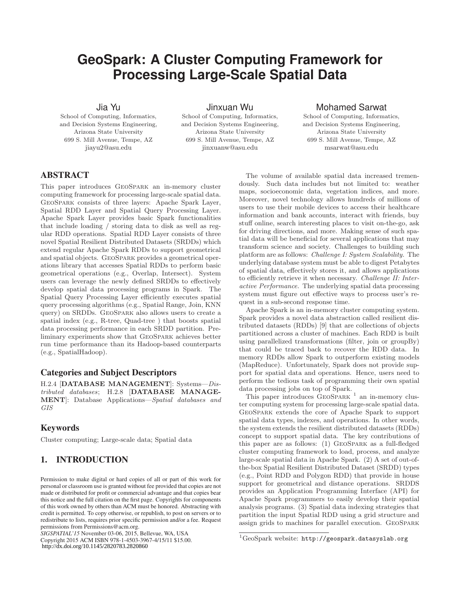# **Exercise Framework: A Cluster Computing Framework Framework Framework Framework Framework Framework Framework Framework Framework Framework Framework Framework for Framework Framework for Framework Framework for Framework Processing Large-Scale Spatial Data**

# Jia Yu

School of Computing, Informatics, and Decision Systems Engineering, Arizona State University 699 S. Mill Avenue, Tempe, AZ jiayu2@asu.edu

Jinxuan Wu

School of Computing, Informatics, and Decision Systems Engineering, Arizona State University 699 S. Mill Avenue, Tempe, AZ jinxuanw@asu.edu

# Mohamed Sarwat

School of Computing, Informatics, and Decision Systems Engineering, Arizona State University 699 S. Mill Avenue, Tempe, AZ msarwat@asu.edu

# ABSTRACT

This paper introduces GeoSpark an in-memory cluster computing framework for processing large-scale spatial data. GeoSpark consists of three layers: Apache Spark Layer, Spatial RDD Layer and Spatial Query Processing Layer. Apache Spark Layer provides basic Spark functionalities that include loading / storing data to disk as well as regular RDD operations. Spatial RDD Layer consists of three novel Spatial Resilient Distributed Datasets (SRDDs) which extend regular Apache Spark RDDs to support geometrical and spatial objects. GeoSpark provides a geometrical operations library that accesses Spatial RDDs to perform basic geometrical operations (e.g., Overlap, Intersect). System users can leverage the newly defined SRDDs to effectively develop spatial data processing programs in Spark. The Spatial Query Processing Layer efficiently executes spatial query processing algorithms (e.g., Spatial Range, Join, KNN query) on SRDDs. GeoSpark also allows users to create a spatial index (e.g., R-tree, Quad-tree ) that boosts spatial data processing performance in each SRDD partition. Preliminary experiments show that GeoSpark achieves better run time performance than its Hadoop-based counterparts (e.g., SpatialHadoop).

# Categories and Subject Descriptors

H.2.4 [**DATABASE MANAGEMENT**]: Systems—Distributed databases; H.2.8 [**DATABASE MANAGE-MENT**]: Database Applications—Spatial databases and GIS

# **Keywords**

Cluster computing; Large-scale data; Spatial data

# 1. INTRODUCTION

*SIGSPATIAL'15* November 03-06, 2015, Bellevue, WA, USA Copyright 2015 ACM ISBN 978-1-4503-3967-4/15/11 \$15.00. http://dx.doi.org/10.1145/2820783.2820860

The volume of available spatial data increased tremendously. Such data includes but not limited to: weather maps, socioeconomic data, vegetation indices, and more. Moreover, novel technology allows hundreds of millions of users to use their mobile devices to access their healthcare information and bank accounts, interact with friends, buy stuff online, search interesting places to visit on-the-go, ask for driving directions, and more. Making sense of such spatial data will be beneficial for several applications that may transform science and society. Challenges to building such platform are as follows: Challenge I: System Scalability. The underlying database system must be able to digest Petabytes of spatial data, effectively stores it, and allows applications to efficiently retrieve it when necessary. Challenge II: Interactive Performance. The underlying spatial data processing system must figure out effective ways to process user's request in a sub-second response time.

Apache Spark is an in-memory cluster computing system. Spark provides a novel data abstraction called resilient distributed datasets (RDDs) [9] that are collections of objects partitioned across a cluster of machines. Each RDD is built using parallelized transformations (filter, join or groupBy) that could be traced back to recover the RDD data. In memory RDDs allow Spark to outperform existing models (MapReduce). Unfortunately, Spark does not provide support for spatial data and operations. Hence, users need to perform the tedious task of programming their own spatial data processing jobs on top of Spark.

This paper introduces  $GEOSPARK^{-1}$  an in-memory cluster computing system for processing large-scale spatial data. GeoSpark extends the core of Apache Spark to support spatial data types, indexes, and operations. In other words, the system extends the resilient distributed datasets (RDDs) concept to support spatial data. The key contributions of this paper are as follows: (1) GeoSpark as a full-fledged cluster computing framework to load, process, and analyze large-scale spatial data in Apache Spark. (2) A set of out-ofthe-box Spatial Resilient Distributed Dataset (SRDD) types (e.g., Point RDD and Polygon RDD) that provide in house support for geometrical and distance operations. SRDDS provides an Application Programming Interface (API) for Apache Spark programmers to easily develop their spatial analysis programs. (3) Spatial data indexing strategies that partition the input Spatial RDD using a grid structure and assign grids to machines for parallel execution. GeoSpark

Permission to make digital or hard copies of all or part of this work for personal or classroom use is granted without fee provided that copies are not made or distributed for profit or commercial advantage and that copies bear this notice and the full citation on the first page. Copyrights for components of this work owned by others than ACM must be honored. Abstracting with credit is permitted. To copy otherwise, or republish, to post on servers or to redistribute to lists, requires prior specific permission and/or a fee. Request permissions from Permissions@acm.org.

 $1$ GeoSpark website: http://geospark.datasyslab.org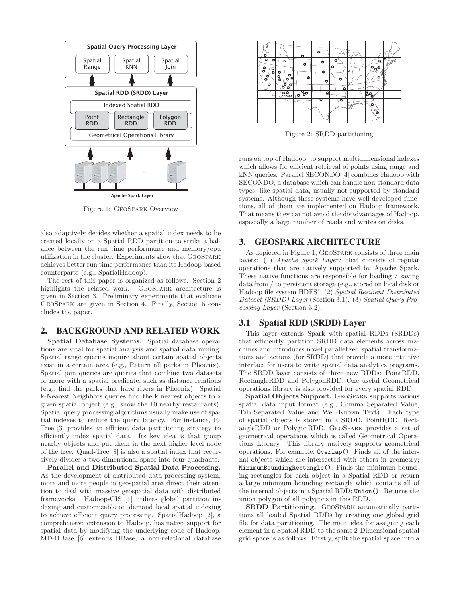

Figure 1: GeoSpark Overview

also adaptively decides whether a spatial index needs to be created locally on a Spatial RDD partition to strike a balance between the run time performance and memory/cpu utilization in the cluster. Experiments show that GeoSpark achieves better run time performance than its Hadoop-based counterparts (e.g., SpatialHadoop).

The rest of this paper is organized as follows. Section 2 highlights the related work. GEOSPARK architecture is given in Section 3. Preliminary experiments that evaluate GeoSpark are given in Section 4. Finally, Section 5 concludes the paper.

## 2. BACKGROUND AND RELATED WORK

**Spatial Database Systems.** Spatial database operations are vital for spatial analysis and spatial data mining. Spatial range queries inquire about certain spatial objects exist in a certain area (e.g., Return all parks in Phoenix). Spatial join queries are queries that combine two datasets or more with a spatial predicate, such as distance relations (e.g., find the parks that have rivers in Phoenix). Spatial k-Nearest Neighbors queries find the k nearest objects to a given spatial object (e.g., show the 10 nearby restaurants). Spatial query processing algorithms usually make use of spatial indexes to reduce the query latency. For instance, R-Tree [3] provides an efficient data partitioning strategy to efficiently index spatial data. Its key idea is that group nearby objects and put them in the next higher level node of the tree. Quad-Tree [8] is also a spatial index that recursively divides a two-dimensional space into four quadrants.

**Parallel and Distributed Spatial Data Processing.** As the development of distributed data processing system, more and more people in geospatial area direct their attention to deal with massive geospatial data with distributed frameworks. Hadoop-GIS [1] utilizes global partition indexing and customizable on demand local spatial indexing to achieve efficient query processing. SpatialHadoop [2], a comprehensive extension to Hadoop, has native support for spatial data by modifying the underlying code of Hadoop. MD-HBase [6] extends HBase, a non-relational database



Figure 2: SRDD partitioning

runs on top of Hadoop, to support multidimensional indexes which allows for efficient retrieval of points using range and kNN queries. Parallel SECONDO [4] combines Hadoop with SECONDO, a database which can handle non-standard data types, like spatial data, usually not supported by standard systems. Although these systems have well-developed functions, all of them are implemented on Hadoop framework. That means they cannot avoid the disadvantages of Hadoop, especially a large number of reads and writes on disks.

## 3. GEOSPARK ARCHITECTURE

As depicted in Figure 1, GeoSpark consists of three main layers: (1) Apache Spark Layer: that consists of regular operations that are natively supported by Apache Spark. These native functions are responsible for loading / saving data from / to persistent storage (e.g., stored on local disk or Hadoop file system HDFS). (2) Spatial Resilient Distributed Dataset (SRDD) Layer (Section 3.1). (3) Spatial Query Processing Layer (Section 3.2).

### 3.1 Spatial RDD (SRDD) Layer

This layer extends Spark with spatial RDDs (SRDDs) that efficiently partition SRDD data elements across machines and introduces novel parallelized spatial transformations and actions (for SRDD) that provide a more intuitive interface for users to write spatial data analytics programs. The SRDD layer consists of three new RDDs: PointRDD, RectangleRDD and PolygonRDD. One useful Geometrical operations library is also provided for every spatial RDD.

**Spatial Objects Support.** GeoSpark supports various spatial data input format (e.g., Comma Separated Value, Tab Separated Value and Well-Known Text). Each type of spatial objects is stored in a SRDD, PointRDD, RectangleRDD or PolygonRDD. GeoSpark provides a set of geometrical operations which is called Geometrical Operations Library. This library natively supports geometrical operations. For example, Overlap(): Finds all of the internal objects which are intersected with others in geometry; MinimumBoundingRectangle(): Finds the minimum bounding rectangles for each object in a Spatial RDD or return a large minimum bounding rectangle which contains all of the internal objects in a Spatial RDD; Union(): Returns the union polygon of all polygons in this RDD.

**SRDD Partitioning.** GeoSpark automatically partitions all loaded Spatial RDDs by creating one global grid file for data partitioning. The main idea for assigning each element in a Spatial RDD to the same 2-Dimensional spatial grid space is as follows: Firstly, split the spatial space into a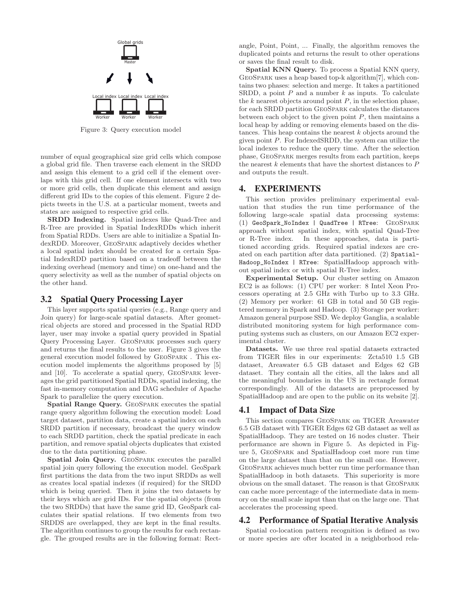

Figure 3: Query execution model

number of equal geographical size grid cells which compose a global grid file. Then traverse each element in the SRDD and assign this element to a grid cell if the element overlaps with this grid cell. If one element intersects with two or more grid cells, then duplicate this element and assign different grid IDs to the copies of this element. Figure 2 depicts tweets in the U.S. at a particular moment, tweets and states are assigned to respective grid cells.

**SRDD Indexing.** Spatial indexes like Quad-Tree and R-Tree are provided in Spatial IndexRDDs which inherit from Spatial RDDs. Users are able to initialize a Spatial IndexRDD. Moreover, GeoSpark adaptively decides whether a local spatial index should be created for a certain Spatial IndexRDD partition based on a tradeoff between the indexing overhead (memory and time) on one-hand and the query selectivity as well as the number of spatial objects on the other hand.

#### 3.2 Spatial Query Processing Layer

This layer supports spatial queries (e.g., Range query and Join query) for large-scale spatial datasets. After geometrical objects are stored and processed in the Spatial RDD layer, user may invoke a spatial query provided in Spatial Query Processing Layer. GeoSpark processes such query and returns the final results to the user. Figure 3 gives the general execution model followed by GeoSpark . This execution model implements the algorithms proposed by [5] and [10]. To accelerate a spatial query, GeoSpark leverages the grid partitioned Spatial RDDs, spatial indexing, the fast in-memory computation and DAG scheduler of Apache Spark to parallelize the query execution.

**Spatial Range Query.** GEOSPARK executes the spatial range query algorithm following the execution model: Load target dataset, partition data, create a spatial index on each SRDD partition if necessary, broadcast the query window to each SRDD partition, check the spatial predicate in each partition, and remove spatial objects duplicates that existed due to the data partitioning phase.

Spatial Join Query. GEOSPARK executes the parallel spatial join query following the execution model. GeoSpark first partitions the data from the two input SRDDs as well as creates local spatial indexes (if required) for the SRDD which is being queried. Then it joins the two datasets by their keys which are grid IDs. For the spatial objects (from the two SRDDs) that have the same grid ID, GeoSpark calculates their spatial relations. If two elements from two SRDDS are overlapped, they are kept in the final results. The algorithm continues to group the results for each rectangle. The grouped results are in the following format: Rectangle, Point, Point, ... Finally, the algorithm removes the duplicated points and returns the result to other operations or saves the final result to disk.

**Spatial KNN Query.** To process a Spatial KNN query, GeoSpark uses a heap based top-k algorithm[7], which contains two phases: selection and merge. It takes a partitioned SRDD, a point  $P$  and a number  $k$  as inputs. To calculate the  $k$  nearest objects around point  $P$ , in the selection phase, for each SRDD partition GeoSpark calculates the distances between each object to the given point  $P$ , then maintains a local heap by adding or removing elements based on the distances. This heap contains the nearest  $k$  objects around the given point P. For IndexedSRDD, the system can utilize the local indexes to reduce the query time. After the selection phase, GeoSpark merges results from each partition, keeps the nearest  $k$  elements that have the shortest distances to  $P$ and outputs the result.

#### 4. EXPERIMENTS

This section provides preliminary experimental evaluation that studies the run time performance of the following large-scale spatial data processing systems: (1) GeoSpark\_NoIndex | QuadTree | RTree: GeoSpark approach without spatial index, with spatial Quad-Tree or R-Tree index. In these approaches, data is partitioned according grids. Required spatial indexes are created on each partition after data partitioned. (2) Spatial-Hadoop\_NoIndex | RTree: SpatialHadoop approach without spatial index or with spatial R-Tree index.

**Experimental Setup.** Our cluster setting on Amazon EC2 is as follows: (1) CPU per worker: 8 Intel Xeon Processors operating at 2.5 GHz with Turbo up to 3.3 GHz. (2) Memory per worker: 61 GB in total and 50 GB registered memory in Spark and Hadoop. (3) Storage per worker: Amazon general purpose SSD. We deploy Ganglia, a scalable distributed monitoring system for high performance computing systems such as clusters, on our Amazon EC2 experimental cluster.

**Datasets.** We use three real spatial datasets extracted from TIGER files in our experiments: Zcta510 1.5 GB dataset, Areawater 6.5 GB dataset and Edges 62 GB dataset. They contain all the cities, all the lakes and all the meaningful boundaries in the US in rectangle format correspondingly. All of the datasets are preprocessed by SpatialHadoop and are open to the public on its website [2].

## 4.1 Impact of Data Size

This section compares GeoSpark on TIGER Areawater 6.5 GB dataset with TIGER Edges 62 GB dataset as well as SpatialHadoop. They are tested on 16 nodes cluster. Their performance are shown in Figure 5. As depicted in Figure 5, GeoSpark and SpatialHadoop cost more run time on the large dataset than that on the small one. However, GeoSpark achieves much better run time performance than SpatialHadoop in both datasets. This superiority is more obvious on the small dataset. The reason is that GeoSpark can cache more percentage of the intermediate data in memory on the small scale input than that on the large one. That accelerates the processing speed.

### 4.2 Performance of Spatial Iterative Analysis

Spatial co-location pattern recognition is defined as two or more species are ofter located in a neighborhood rela-